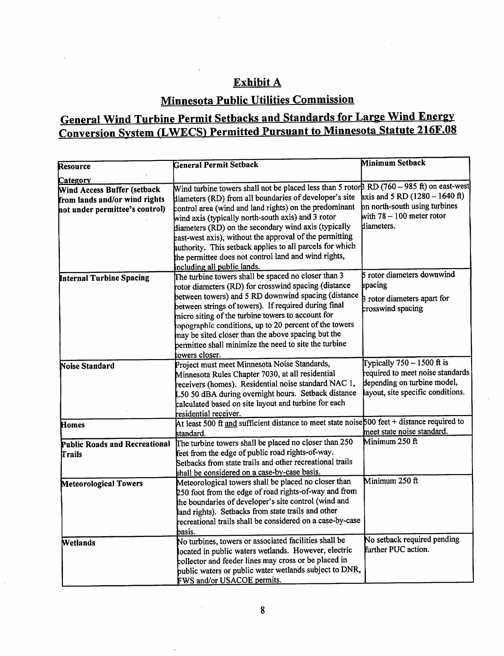### Exhibit A

# Minnesota Public Utilities Commission

## General Wind Turbine Permit Setbacks and Standards for Large Wind Energy Conversion System (LWECS) Permitted Pursuant to Minnesota Statute 216F.08

| <b>Resource</b>                      | <b>General Permit Setback</b>                                                               | <b>Minimum Setback</b>                   |
|--------------------------------------|---------------------------------------------------------------------------------------------|------------------------------------------|
|                                      |                                                                                             |                                          |
| Category                             | Wind turbine towers shall not be placed less than 5 rotor $BD(760 - 985 ft)$ on east-west   |                                          |
| Wind Access Buffer (setback          | diameters (RD) from all boundaries of developer's site                                      | axis and 5 RD $(1280 - 1640 \text{ ft})$ |
| from lands and/or wind rights        | control area (wind and land rights) on the predominant                                      | on north-south using turbines            |
| not under permittee's control)       | wind axis (typically north-south axis) and 3 rotor                                          | with $78 - 100$ meter rotor              |
|                                      | diameters (RD) on the secondary wind axis (typically                                        | diameters.                               |
|                                      | east-west axis), without the approval of the permitting                                     |                                          |
|                                      | authority. This setback applies to all parcels for which                                    |                                          |
|                                      | the permittee does not control land and wind rights,                                        |                                          |
|                                      |                                                                                             |                                          |
|                                      | including all public lands.<br>The turbine towers shall be spaced no closer than 3          | 5 rotor diameters downwind               |
| Internal Turbine Spacing             | rotor diameters (RD) for crosswind spacing (distance                                        | spacing                                  |
|                                      | between towers) and 5 RD downwind spacing (distance                                         |                                          |
|                                      | between strings of towers). If required during final                                        | <b>B</b> rotor diameters apart for       |
|                                      | micro siting of the turbine towers to account for                                           | crosswind spacing                        |
|                                      | copographic conditions, up to 20 percent of the towers                                      |                                          |
|                                      | may be sited closer than the above spacing but the                                          |                                          |
|                                      | permittee shall minimize the need to site the turbine                                       |                                          |
|                                      | towers closer.                                                                              |                                          |
| Noise Standard                       | Project must meet Minnesota Noise Standards,                                                | Typically $750 - 1500$ ft is             |
|                                      | Minnesota Rules Chapter 7030, at all residential                                            | required to meet noise standards         |
|                                      | receivers (homes). Residential noise standard NAC 1,                                        | depending on turbine model,              |
|                                      | L50 50 dBA during overnight hours. Setback distance                                         | ayout, site specific conditions.         |
|                                      | calculated based on site layout and turbine for each                                        |                                          |
|                                      | residential receiver.                                                                       |                                          |
| Homes                                | At least 500 ft and sufficient distance to meet state noise 500 feet + distance required to |                                          |
|                                      | standard.                                                                                   | meet state noise standard.               |
| <b>Public Roads and Recreational</b> | The turbine towers shall be placed no closer than 250                                       | Minimum 250 ft                           |
| Trails                               | feet from the edge of public road rights-of-way.                                            |                                          |
|                                      | Setbacks from state trails and other recreational trails                                    |                                          |
|                                      | shall be considered on a case-by-case basis.                                                |                                          |
| Meteorological Towers                | Meteorological towers shall be placed no closer than                                        | Minimum 250 ft                           |
|                                      | 250 foot from the edge of road rights-of-way and from                                       |                                          |
|                                      | the boundaries of developer's site control (wind and                                        |                                          |
|                                      | land rights). Setbacks from state trails and other                                          |                                          |
|                                      | recreational trails shall be considered on a case-by-case                                   |                                          |
|                                      | basis.                                                                                      |                                          |
| Wetlands                             | No turbines, towers or associated facilities shall be                                       | No setback required pending              |
|                                      | located in public waters wetlands. However, electric                                        | further PUC action.                      |
|                                      | collector and feeder lines may cross or be placed in                                        |                                          |
|                                      | public waters or public water wetlands subject to DNR,                                      |                                          |
|                                      | FWS and/or USACOE permits.                                                                  |                                          |